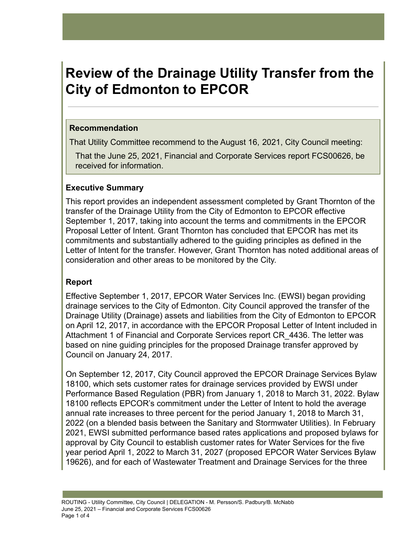# **Review of the Drainage Utility Transfer from the City of Edmonton to EPCOR**

#### **Recommendation**

That Utility Committee recommend to the August 16, 2021, City Council meeting:

That the June 25, 2021, Financial and Corporate Services report FCS00626, be received for information.

## **Executive Summary**

This report provides an independent assessment completed by Grant Thornton of the transfer of the Drainage Utility from the City of Edmonton to EPCOR effective September 1, 2017, taking into account the terms and commitments in the EPCOR Proposal Letter of Intent. Grant Thornton has concluded that EPCOR has met its commitments and substantially adhered to the guiding principles as defined in the Letter of Intent for the transfer. However, Grant Thornton has noted additional areas of consideration and other areas to be monitored by the City.

# **Report**

Effective September 1, 2017, EPCOR Water Services Inc. (EWSI) began providing drainage services to the City of Edmonton. City Council approved the transfer of the Drainage Utility (Drainage) assets and liabilities from the City of Edmonton to EPCOR on April 12, 2017, in accordance with the EPCOR Proposal Letter of Intent included in Attachment 1 of Financial and Corporate Services report CR\_4436. The letter was based on nine guiding principles for the proposed Drainage transfer approved by Council on January 24, 2017.

On September 12, 2017, City Council approved the EPCOR Drainage Services Bylaw 18100, which sets customer rates for drainage services provided by EWSI under Performance Based Regulation (PBR) from January 1, 2018 to March 31, 2022. Bylaw 18100 reflects EPCOR's commitment under the Letter of Intent to hold the average annual rate increases to three percent for the period January 1, 2018 to March 31, 2022 (on a blended basis between the Sanitary and Stormwater Utilities). In February 2021, EWSI submitted performance based rates applications and proposed bylaws for approval by City Council to establish customer rates for Water Services for the five year period April 1, 2022 to March 31, 2027 (proposed EPCOR Water Services Bylaw 19626), and for each of Wastewater Treatment and Drainage Services for the three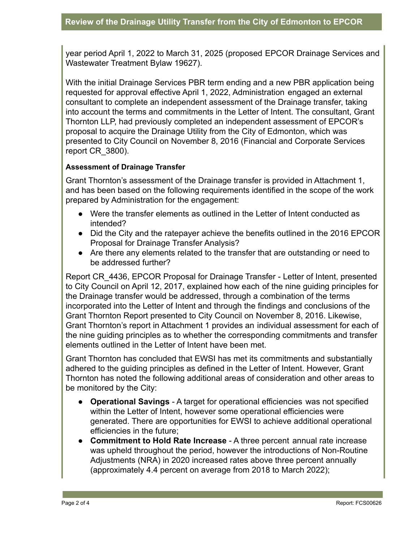year period April 1, 2022 to March 31, 2025 (proposed EPCOR Drainage Services and Wastewater Treatment Bylaw 19627).

With the initial Drainage Services PBR term ending and a new PBR application being requested for approval effective April 1, 2022, Administration engaged an external consultant to complete an independent assessment of the Drainage transfer, taking into account the terms and commitments in the Letter of Intent. The consultant, Grant Thornton LLP, had previously completed an independent assessment of EPCOR's proposal to acquire the Drainage Utility from the City of Edmonton, which was presented to City Council on November 8, 2016 (Financial and Corporate Services report CR\_3800).

#### **Assessment of Drainage Transfer**

Grant Thornton's assessment of the Drainage transfer is provided in Attachment 1, and has been based on the following requirements identified in the scope of the work prepared by Administration for the engagement:

- Were the transfer elements as outlined in the Letter of Intent conducted as intended?
- Did the City and the ratepayer achieve the benefits outlined in the 2016 EPCOR Proposal for Drainage Transfer Analysis?
- Are there any elements related to the transfer that are outstanding or need to be addressed further?

Report CR\_4436, EPCOR Proposal for Drainage Transfer - Letter of Intent, presented to City Council on April 12, 2017, explained how each of the nine guiding principles for the Drainage transfer would be addressed, through a combination of the terms incorporated into the Letter of Intent and through the findings and conclusions of the Grant Thornton Report presented to City Council on November 8, 2016. Likewise, Grant Thornton's report in Attachment 1 provides an individual assessment for each of the nine guiding principles as to whether the corresponding commitments and transfer elements outlined in the Letter of Intent have been met.

Grant Thornton has concluded that EWSI has met its commitments and substantially adhered to the guiding principles as defined in the Letter of Intent. However, Grant Thornton has noted the following additional areas of consideration and other areas to be monitored by the City:

- **Operational Savings** A target for operational efficiencies was not specified within the Letter of Intent, however some operational efficiencies were generated. There are opportunities for EWSI to achieve additional operational efficiencies in the future;
- **Commitment to Hold Rate Increase** A three percent annual rate increase was upheld throughout the period, however the introductions of Non-Routine Adjustments (NRA) in 2020 increased rates above three percent annually (approximately 4.4 percent on average from 2018 to March 2022);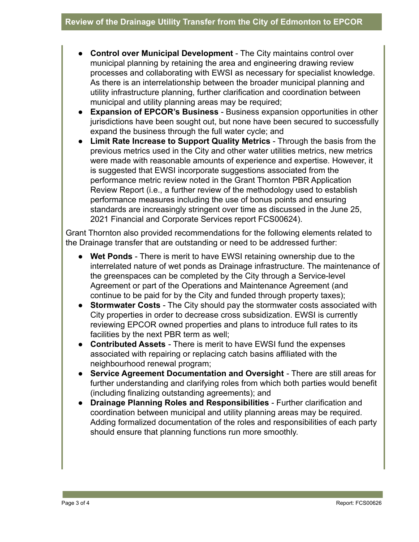- **Control over Municipal Development** The City maintains control over municipal planning by retaining the area and engineering drawing review processes and collaborating with EWSI as necessary for specialist knowledge. As there is an interrelationship between the broader municipal planning and utility infrastructure planning, further clarification and coordination between municipal and utility planning areas may be required;
- **Expansion of EPCOR's Business** Business expansion opportunities in other jurisdictions have been sought out, but none have been secured to successfully expand the business through the full water cycle; and
- **Limit Rate Increase to Support Quality Metrics** Through the basis from the previous metrics used in the City and other water utilities metrics, new metrics were made with reasonable amounts of experience and expertise. However, it is suggested that EWSI incorporate suggestions associated from the performance metric review noted in the Grant Thornton PBR Application Review Report (i.e., a further review of the methodology used to establish performance measures including the use of bonus points and ensuring standards are increasingly stringent over time as discussed in the June 25, 2021 Financial and Corporate Services report FCS00624).

Grant Thornton also provided recommendations for the following elements related to the Drainage transfer that are outstanding or need to be addressed further:

- **● Wet Ponds** There is merit to have EWSI retaining ownership due to the interrelated nature of wet ponds as Drainage infrastructure. The maintenance of the greenspaces can be completed by the City through a Service-level Agreement or part of the Operations and Maintenance Agreement (and continue to be paid for by the City and funded through property taxes);
- **Stormwater Costs** The City should pay the stormwater costs associated with City properties in order to decrease cross subsidization. EWSI is currently reviewing EPCOR owned properties and plans to introduce full rates to its facilities by the next PBR term as well;
- **● Contributed Assets** There is merit to have EWSI fund the expenses associated with repairing or replacing catch basins affiliated with the neighbourhood renewal program;
- **● Service Agreement Documentation and Oversight** There are still areas for further understanding and clarifying roles from which both parties would benefit (including finalizing outstanding agreements); and
- **● Drainage Planning Roles and Responsibilities** Further clarification and coordination between municipal and utility planning areas may be required. Adding formalized documentation of the roles and responsibilities of each party should ensure that planning functions run more smoothly.